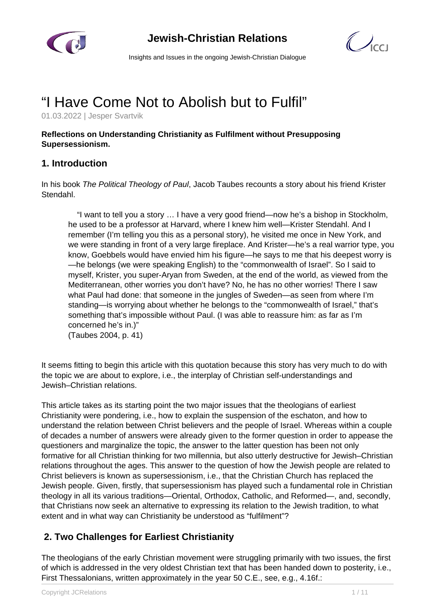

# **Jewish-Christian Relations**



Insights and Issues in the ongoing Jewish-Christian Dialogue

# "I Have Come Not to Abolish but to Fulfil"

01.03.2022 | Jesper Svartvik

#### **Reflections on Understanding Christianity as Fulfilment without Presupposing Supersessionism.**

#### **1. Introduction**

In his book The Political Theology of Paul, Jacob Taubes recounts a story about his friend Krister Stendahl.

 "I want to tell you a story … I have a very good friend—now he's a bishop in Stockholm, he used to be a professor at Harvard, where I knew him well—Krister Stendahl. And I remember (I'm telling you this as a personal story), he visited me once in New York, and we were standing in front of a very large fireplace. And Krister—he's a real warrior type, you know, Goebbels would have envied him his figure—he says to me that his deepest worry is —he belongs (we were speaking English) to the "commonwealth of Israel". So I said to myself, Krister, you super-Aryan from Sweden, at the end of the world, as viewed from the Mediterranean, other worries you don't have? No, he has no other worries! There I saw what Paul had done: that someone in the jungles of Sweden—as seen from where I'm standing—is worrying about whether he belongs to the "commonwealth of Israel," that's something that's impossible without Paul. (I was able to reassure him: as far as I'm concerned he's in.)"

(Taubes 2004, p. 41)

It seems fitting to begin this article with this quotation because this story has very much to do with the topic we are about to explore, i.e., the interplay of Christian self-understandings and Jewish–Christian relations.

This article takes as its starting point the two major issues that the theologians of earliest Christianity were pondering, i.e., how to explain the suspension of the eschaton, and how to understand the relation between Christ believers and the people of Israel. Whereas within a couple of decades a number of answers were already given to the former question in order to appease the questioners and marginalize the topic, the answer to the latter question has been not only formative for all Christian thinking for two millennia, but also utterly destructive for Jewish–Christian relations throughout the ages. This answer to the question of how the Jewish people are related to Christ believers is known as supersessionism, i.e., that the Christian Church has replaced the Jewish people. Given, firstly, that supersessionism has played such a fundamental role in Christian theology in all its various traditions—Oriental, Orthodox, Catholic, and Reformed—, and, secondly, that Christians now seek an alternative to expressing its relation to the Jewish tradition, to what extent and in what way can Christianity be understood as "fulfilment"?

#### **2. Two Challenges for Earliest Christianity**

The theologians of the early Christian movement were struggling primarily with two issues, the first of which is addressed in the very oldest Christian text that has been handed down to posterity, i.e., First Thessalonians, written approximately in the year 50 C.E., see, e.g., 4.16f.: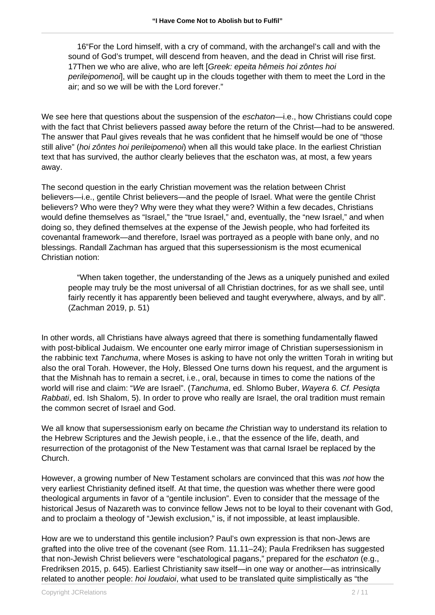16"For the Lord himself, with a cry of command, with the archangel's call and with the sound of God's trumpet, will descend from heaven, and the dead in Christ will rise first. 17Then we who are alive, who are left [Greek: epeita hêmeis hoi zôntes hoi perileipomenoi], will be caught up in the clouds together with them to meet the Lord in the air; and so we will be with the Lord forever."

We see here that questions about the suspension of the *eschaton*—i.e., how Christians could cope with the fact that Christ believers passed away before the return of the Christ—had to be answered. The answer that Paul gives reveals that he was confident that he himself would be one of "those still alive" (hoi zôntes hoi perileipomenoi) when all this would take place. In the earliest Christian text that has survived, the author clearly believes that the eschaton was, at most, a few years away.

The second question in the early Christian movement was the relation between Christ believers—i.e., gentile Christ believers—and the people of Israel. What were the gentile Christ believers? Who were they? Why were they what they were? Within a few decades, Christians would define themselves as "Israel," the "true Israel," and, eventually, the "new Israel," and when doing so, they defined themselves at the expense of the Jewish people, who had forfeited its covenantal framework—and therefore, Israel was portrayed as a people with bane only, and no blessings. Randall Zachman has argued that this supersessionism is the most ecumenical Christian notion:

 "When taken together, the understanding of the Jews as a uniquely punished and exiled people may truly be the most universal of all Christian doctrines, for as we shall see, until fairly recently it has apparently been believed and taught everywhere, always, and by all". (Zachman 2019, p. 51)

In other words, all Christians have always agreed that there is something fundamentally flawed with post-biblical Judaism. We encounter one early mirror image of Christian supersessionism in the rabbinic text Tanchuma, where Moses is asking to have not only the written Torah in writing but also the oral Torah. However, the Holy, Blessed One turns down his request, and the argument is that the Mishnah has to remain a secret, i.e., oral, because in times to come the nations of the world will rise and claim: "We are Israel". (Tanchuma, ed. Shlomo Buber, Wayera 6. Cf. Pesigta Rabbati, ed. Ish Shalom, 5). In order to prove who really are Israel, the oral tradition must remain the common secret of Israel and God.

We all know that supersessionism early on became the Christian way to understand its relation to the Hebrew Scriptures and the Jewish people, i.e., that the essence of the life, death, and resurrection of the protagonist of the New Testament was that carnal Israel be replaced by the Church.

However, a growing number of New Testament scholars are convinced that this was not how the very earliest Christianity defined itself. At that time, the question was whether there were good theological arguments in favor of a "gentile inclusion". Even to consider that the message of the historical Jesus of Nazareth was to convince fellow Jews not to be loyal to their covenant with God, and to proclaim a theology of "Jewish exclusion," is, if not impossible, at least implausible.

How are we to understand this gentile inclusion? Paul's own expression is that non-Jews are grafted into the olive tree of the covenant (see Rom. 11.11–24); Paula Fredriksen has suggested that non-Jewish Christ believers were "eschatological pagans," prepared for the eschaton (e.g., Fredriksen 2015, p. 645). Earliest Christianity saw itself—in one way or another—as intrinsically related to another people: hoi loudaioi, what used to be translated quite simplistically as "the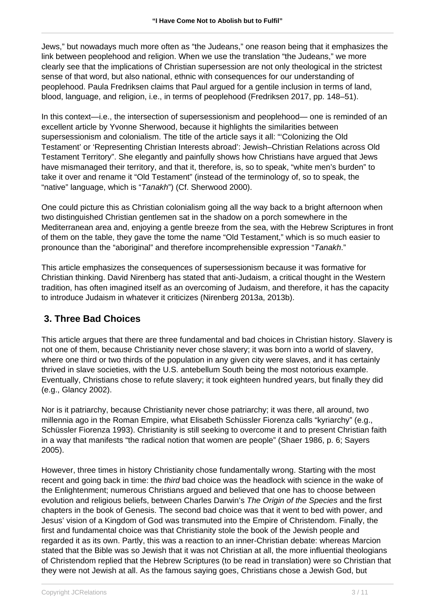Jews," but nowadays much more often as "the Judeans," one reason being that it emphasizes the link between peoplehood and religion. When we use the translation "the Judeans," we more clearly see that the implications of Christian supersession are not only theological in the strictest sense of that word, but also national, ethnic with consequences for our understanding of peoplehood. Paula Fredriksen claims that Paul argued for a gentile inclusion in terms of land, blood, language, and religion, i.e., in terms of peoplehood (Fredriksen 2017, pp. 148–51).

In this context—i.e., the intersection of supersessionism and peoplehood— one is reminded of an excellent article by Yvonne Sherwood, because it highlights the similarities between supersessionism and colonialism. The title of the article says it all: "'Colonizing the Old Testament' or 'Representing Christian Interests abroad': Jewish–Christian Relations across Old Testament Territory". She elegantly and painfully shows how Christians have argued that Jews have mismanaged their territory, and that it, therefore, is, so to speak, "white men's burden" to take it over and rename it "Old Testament" (instead of the terminology of, so to speak, the "native" language, which is "Tanakh") (Cf. Sherwood 2000).

One could picture this as Christian colonialism going all the way back to a bright afternoon when two distinguished Christian gentlemen sat in the shadow on a porch somewhere in the Mediterranean area and, enjoying a gentle breeze from the sea, with the Hebrew Scriptures in front of them on the table, they gave the tome the name "Old Testament," which is so much easier to pronounce than the "aboriginal" and therefore incomprehensible expression "Tanakh."

This article emphasizes the consequences of supersessionism because it was formative for Christian thinking. David Nirenberg has stated that anti-Judaism, a critical thought in the Western tradition, has often imagined itself as an overcoming of Judaism, and therefore, it has the capacity to introduce Judaism in whatever it criticizes (Nirenberg 2013a, 2013b).

#### **3. Three Bad Choices**

This article argues that there are three fundamental and bad choices in Christian history. Slavery is not one of them, because Christianity never chose slavery; it was born into a world of slavery, where one third or two thirds of the population in any given city were slaves, and it has certainly thrived in slave societies, with the U.S. antebellum South being the most notorious example. Eventually, Christians chose to refute slavery; it took eighteen hundred years, but finally they did (e.g., Glancy 2002).

Nor is it patriarchy, because Christianity never chose patriarchy; it was there, all around, two millennia ago in the Roman Empire, what Elisabeth Schüssler Fiorenza calls "kyriarchy" (e.g., Schüssler Fiorenza 1993). Christianity is still seeking to overcome it and to present Christian faith in a way that manifests "the radical notion that women are people" (Shaer 1986, p. 6; Sayers 2005).

However, three times in history Christianity chose fundamentally wrong. Starting with the most recent and going back in time: the third bad choice was the headlock with science in the wake of the Enlightenment; numerous Christians argued and believed that one has to choose between evolution and religious beliefs, between Charles Darwin's The Origin of the Species and the first chapters in the book of Genesis. The second bad choice was that it went to bed with power, and Jesus' vision of a Kingdom of God was transmuted into the Empire of Christendom. Finally, the first and fundamental choice was that Christianity stole the book of the Jewish people and regarded it as its own. Partly, this was a reaction to an inner-Christian debate: whereas Marcion stated that the Bible was so Jewish that it was not Christian at all, the more influential theologians of Christendom replied that the Hebrew Scriptures (to be read in translation) were so Christian that they were not Jewish at all. As the famous saying goes, Christians chose a Jewish God, but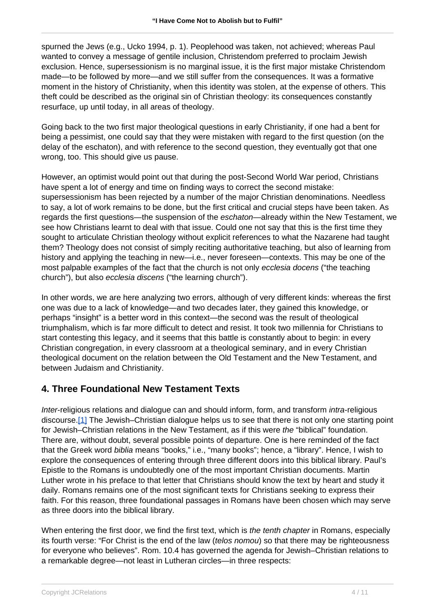spurned the Jews (e.g., Ucko 1994, p. 1). Peoplehood was taken, not achieved; whereas Paul wanted to convey a message of gentile inclusion, Christendom preferred to proclaim Jewish exclusion. Hence, supersessionism is no marginal issue, it is the first major mistake Christendom made—to be followed by more—and we still suffer from the consequences. It was a formative moment in the history of Christianity, when this identity was stolen, at the expense of others. This theft could be described as the original sin of Christian theology: its consequences constantly resurface, up until today, in all areas of theology.

Going back to the two first major theological questions in early Christianity, if one had a bent for being a pessimist, one could say that they were mistaken with regard to the first question (on the delay of the eschaton), and with reference to the second question, they eventually got that one wrong, too. This should give us pause.

However, an optimist would point out that during the post-Second World War period, Christians have spent a lot of energy and time on finding ways to correct the second mistake: supersessionism has been rejected by a number of the major Christian denominations. Needless to say, a lot of work remains to be done, but the first critical and crucial steps have been taken. As regards the first questions—the suspension of the eschaton—already within the New Testament, we see how Christians learnt to deal with that issue. Could one not say that this is the first time they sought to articulate Christian theology without explicit references to what the Nazarene had taught them? Theology does not consist of simply reciting authoritative teaching, but also of learning from history and applying the teaching in new—i.e., never foreseen—contexts. This may be one of the most palpable examples of the fact that the church is not only ecclesia docens ("the teaching church"), but also ecclesia discens ("the learning church").

In other words, we are here analyzing two errors, although of very different kinds: whereas the first one was due to a lack of knowledge—and two decades later, they gained this knowledge, or perhaps "insight" is a better word in this context—the second was the result of theological triumphalism, which is far more difficult to detect and resist. It took two millennia for Christians to start contesting this legacy, and it seems that this battle is constantly about to begin: in every Christian congregation, in every classroom at a theological seminary, and in every Christian theological document on the relation between the Old Testament and the New Testament, and between Judaism and Christianity.

## **4. Three Foundational New Testament Texts**

Inter-religious relations and dialogue can and should inform, form, and transform *intra-religious* discourse.[1] The Jewish–Christian dialogue helps us to see that there is not only one starting point for Jewish–Christian relations in the New Testament, as if this were the "biblical" foundation. There are, without doubt, several possible points of departure. One is here reminded of the fact that the Greek word biblia means "books," i.e., "many books"; hence, a "library". Hence, I wish to explore the consequences of entering through three different doors into this biblical library. Paul's Epistle to the Romans is undoubtedly one of the most important Christian documents. Martin Luther wrote in his preface to that letter that Christians should know the text by heart and study it daily. Romans remains one of the most significant texts for Christians seeking to express their faith. For this reason, three foundational passages in Romans have been chosen which may serve as three doors into the biblical library.

When entering the first door, we find the first text, which is the tenth chapter in Romans, especially its fourth verse: "For Christ is the end of the law (*telos nomou*) so that there may be righteousness for everyone who believes". Rom. 10.4 has governed the agenda for Jewish–Christian relations to a remarkable degree—not least in Lutheran circles—in three respects: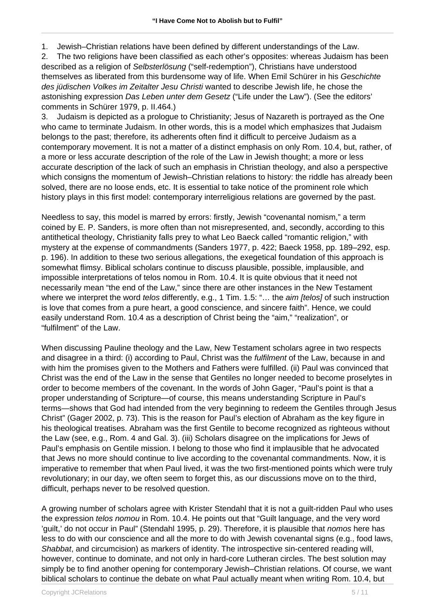1. Jewish–Christian relations have been defined by different understandings of the Law.

2. The two religions have been classified as each other's opposites: whereas Judaism has been described as a religion of Selbsterlösung ("self-redemption"), Christians have understood themselves as liberated from this burdensome way of life. When Emil Schürer in his Geschichte des jüdischen Volkes im Zeitalter Jesu Christi wanted to describe Jewish life, he chose the astonishing expression Das Leben unter dem Gesetz ("Life under the Law"). (See the editors' comments in Schürer 1979, p. II.464.)

3. Judaism is depicted as a prologue to Christianity; Jesus of Nazareth is portrayed as the One who came to terminate Judaism. In other words, this is a model which emphasizes that Judaism belongs to the past; therefore, its adherents often find it difficult to perceive Judaism as a contemporary movement. It is not a matter of a distinct emphasis on only Rom. 10.4, but, rather, of a more or less accurate description of the role of the Law in Jewish thought; a more or less accurate description of the lack of such an emphasis in Christian theology, and also a perspective which consigns the momentum of Jewish–Christian relations to history: the riddle has already been solved, there are no loose ends, etc. It is essential to take notice of the prominent role which history plays in this first model: contemporary interreligious relations are governed by the past.

Needless to say, this model is marred by errors: firstly, Jewish "covenantal nomism," a term coined by E. P. Sanders, is more often than not misrepresented, and, secondly, according to this antithetical theology, Christianity falls prey to what Leo Baeck called "romantic religion," with mystery at the expense of commandments (Sanders 1977, p. 422; Baeck 1958, pp. 189–292, esp. p. 196). In addition to these two serious allegations, the exegetical foundation of this approach is somewhat flimsy. Biblical scholars continue to discuss plausible, possible, implausible, and impossible interpretations of telos nomou in Rom. 10.4. It is quite obvious that it need not necessarily mean "the end of the Law," since there are other instances in the New Testament where we interpret the word *telos* differently, e.g., 1 Tim. 1.5: "... the *aim [telos]* of such instruction is love that comes from a pure heart, a good conscience, and sincere faith". Hence, we could easily understand Rom. 10.4 as a description of Christ being the "aim," "realization", or "fulfilment" of the Law.

When discussing Pauline theology and the Law, New Testament scholars agree in two respects and disagree in a third: (i) according to Paul, Christ was the *fulfilment* of the Law, because in and with him the promises given to the Mothers and Fathers were fulfilled. (ii) Paul was convinced that Christ was the end of the Law in the sense that Gentiles no longer needed to become proselytes in order to become members of the covenant. In the words of John Gager, "Paul's point is that a proper understanding of Scripture—of course, this means understanding Scripture in Paul's terms—shows that God had intended from the very beginning to redeem the Gentiles through Jesus Christ" (Gager 2002, p. 73). This is the reason for Paul's election of Abraham as the key figure in his theological treatises. Abraham was the first Gentile to become recognized as righteous without the Law (see, e.g., Rom. 4 and Gal. 3). (iii) Scholars disagree on the implications for Jews of Paul's emphasis on Gentile mission. I belong to those who find it implausible that he advocated that Jews no more should continue to live according to the covenantal commandments. Now, it is imperative to remember that when Paul lived, it was the two first-mentioned points which were truly revolutionary; in our day, we often seem to forget this, as our discussions move on to the third, difficult, perhaps never to be resolved question.

A growing number of scholars agree with Krister Stendahl that it is not a guilt-ridden Paul who uses the expression *telos nomou* in Rom. 10.4. He points out that "Guilt language, and the very word 'guilt,' do not occur in Paul" (Stendahl 1995, p. 29). Therefore, it is plausible that nomos here has less to do with our conscience and all the more to do with Jewish covenantal signs (e.g., food laws, Shabbat, and circumcision) as markers of identity. The introspective sin-centered reading will, however, continue to dominate, and not only in hard-core Lutheran circles. The best solution may simply be to find another opening for contemporary Jewish–Christian relations. Of course, we want biblical scholars to continue the debate on what Paul actually meant when writing Rom. 10.4, but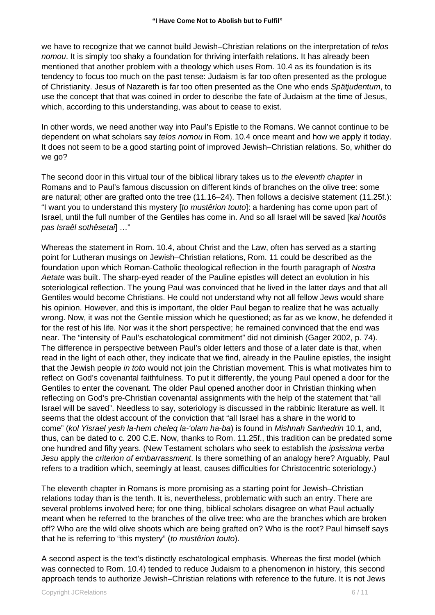we have to recognize that we cannot build Jewish–Christian relations on the interpretation of telos nomou. It is simply too shaky a foundation for thriving interfaith relations. It has already been mentioned that another problem with a theology which uses Rom. 10.4 as its foundation is its tendency to focus too much on the past tense: Judaism is far too often presented as the prologue of Christianity. Jesus of Nazareth is far too often presented as the One who ends Spätjudentum, to use the concept that that was coined in order to describe the fate of Judaism at the time of Jesus, which, according to this understanding, was about to cease to exist.

In other words, we need another way into Paul's Epistle to the Romans. We cannot continue to be dependent on what scholars say *telos nomou* in Rom. 10.4 once meant and how we apply it today. It does not seem to be a good starting point of improved Jewish–Christian relations. So, whither do we go?

The second door in this virtual tour of the biblical library takes us to the eleventh chapter in Romans and to Paul's famous discussion on different kinds of branches on the olive tree: some are natural; other are grafted onto the tree (11.16–24). Then follows a decisive statement (11.25f.): "I want you to understand this mystery [to mustêrion touto]: a hardening has come upon part of Israel, until the full number of the Gentiles has come in. And so all Israel will be saved [kai houtôs pas Israêl sothêsetai] …"

Whereas the statement in Rom. 10.4, about Christ and the Law, often has served as a starting point for Lutheran musings on Jewish–Christian relations, Rom. 11 could be described as the foundation upon which Roman-Catholic theological reflection in the fourth paragraph of Nostra Aetate was built. The sharp-eyed reader of the Pauline epistles will detect an evolution in his soteriological reflection. The young Paul was convinced that he lived in the latter days and that all Gentiles would become Christians. He could not understand why not all fellow Jews would share his opinion. However, and this is important, the older Paul began to realize that he was actually wrong. Now, it was not the Gentile mission which he questioned; as far as we know, he defended it for the rest of his life. Nor was it the short perspective; he remained convinced that the end was near. The "intensity of Paul's eschatological commitment" did not diminish (Gager 2002, p. 74). The difference in perspective between Paul's older letters and those of a later date is that, when read in the light of each other, they indicate that we find, already in the Pauline epistles, the insight that the Jewish people in toto would not join the Christian movement. This is what motivates him to reflect on God's covenantal faithfulness. To put it differently, the young Paul opened a door for the Gentiles to enter the covenant. The older Paul opened another door in Christian thinking when reflecting on God's pre-Christian covenantal assignments with the help of the statement that "all Israel will be saved". Needless to say, soteriology is discussed in the rabbinic literature as well. It seems that the oldest account of the conviction that "all Israel has a share in the world to come" (kol Yisrael yesh la-hem cheleq la-'olam ha-ba) is found in Mishnah Sanhedrin 10.1, and, thus, can be dated to c. 200 C.E. Now, thanks to Rom. 11.25f., this tradition can be predated some one hundred and fifty years. (New Testament scholars who seek to establish the *ipsissima verba* Jesu apply the criterion of embarrassment. Is there something of an analogy here? Arguably, Paul refers to a tradition which, seemingly at least, causes difficulties for Christocentric soteriology.)

The eleventh chapter in Romans is more promising as a starting point for Jewish–Christian relations today than is the tenth. It is, nevertheless, problematic with such an entry. There are several problems involved here; for one thing, biblical scholars disagree on what Paul actually meant when he referred to the branches of the olive tree: who are the branches which are broken off? Who are the wild olive shoots which are being grafted on? Who is the root? Paul himself says that he is referring to "this mystery" (to mustêrion touto).

A second aspect is the text's distinctly eschatological emphasis. Whereas the first model (which was connected to Rom. 10.4) tended to reduce Judaism to a phenomenon in history, this second approach tends to authorize Jewish–Christian relations with reference to the future. It is not Jews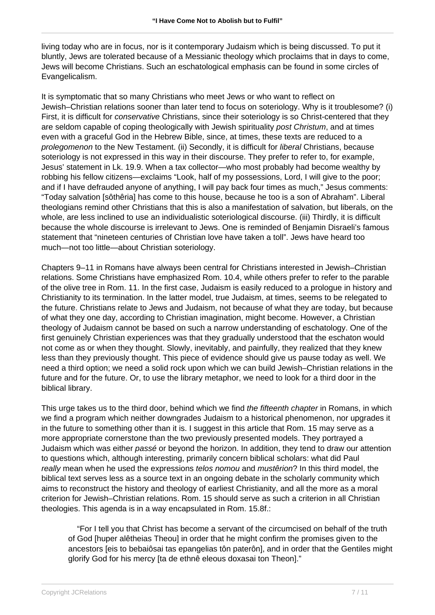living today who are in focus, nor is it contemporary Judaism which is being discussed. To put it bluntly, Jews are tolerated because of a Messianic theology which proclaims that in days to come, Jews will become Christians. Such an eschatological emphasis can be found in some circles of Evangelicalism.

It is symptomatic that so many Christians who meet Jews or who want to reflect on Jewish–Christian relations sooner than later tend to focus on soteriology. Why is it troublesome? (i) First, it is difficult for *conservative* Christians, since their soteriology is so Christ-centered that they are seldom capable of coping theologically with Jewish spirituality post Christum, and at times even with a graceful God in the Hebrew Bible, since, at times, these texts are reduced to a prolegomenon to the New Testament. (ii) Secondly, it is difficult for liberal Christians, because soteriology is not expressed in this way in their discourse. They prefer to refer to, for example, Jesus' statement in Lk. 19.9. When a tax collector—who most probably had become wealthy by robbing his fellow citizens—exclaims "Look, half of my possessions, Lord, I will give to the poor; and if I have defrauded anyone of anything, I will pay back four times as much," Jesus comments: "Today salvation [sôthêria] has come to this house, because he too is a son of Abraham". Liberal theologians remind other Christians that this is also a manifestation of salvation, but liberals, on the whole, are less inclined to use an individualistic soteriological discourse. (iii) Thirdly, it is difficult because the whole discourse is irrelevant to Jews. One is reminded of Benjamin Disraeli's famous statement that "nineteen centuries of Christian love have taken a toll". Jews have heard too much—not too little—about Christian soteriology.

Chapters 9–11 in Romans have always been central for Christians interested in Jewish–Christian relations. Some Christians have emphasized Rom. 10.4, while others prefer to refer to the parable of the olive tree in Rom. 11. In the first case, Judaism is easily reduced to a prologue in history and Christianity to its termination. In the latter model, true Judaism, at times, seems to be relegated to the future. Christians relate to Jews and Judaism, not because of what they are today, but because of what they one day, according to Christian imagination, might become. However, a Christian theology of Judaism cannot be based on such a narrow understanding of eschatology. One of the first genuinely Christian experiences was that they gradually understood that the eschaton would not come as or when they thought. Slowly, inevitably, and painfully, they realized that they knew less than they previously thought. This piece of evidence should give us pause today as well. We need a third option; we need a solid rock upon which we can build Jewish–Christian relations in the future and for the future. Or, to use the library metaphor, we need to look for a third door in the biblical library.

This urge takes us to the third door, behind which we find the fifteenth chapter in Romans, in which we find a program which neither downgrades Judaism to a historical phenomenon, nor upgrades it in the future to something other than it is. I suggest in this article that Rom. 15 may serve as a more appropriate cornerstone than the two previously presented models. They portrayed a Judaism which was either passé or beyond the horizon. In addition, they tend to draw our attention to questions which, although interesting, primarily concern biblical scholars: what did Paul really mean when he used the expressions telos nomou and musterion? In this third model, the biblical text serves less as a source text in an ongoing debate in the scholarly community which aims to reconstruct the history and theology of earliest Christianity, and all the more as a moral criterion for Jewish–Christian relations. Rom. 15 should serve as such a criterion in all Christian theologies. This agenda is in a way encapsulated in Rom. 15.8f.:

 "For I tell you that Christ has become a servant of the circumcised on behalf of the truth of God [huper alêtheias Theou] in order that he might confirm the promises given to the ancestors [eis to bebaiôsai tas epangelias tôn paterôn], and in order that the Gentiles might glorify God for his mercy [ta de ethnê eleous doxasai ton Theon]."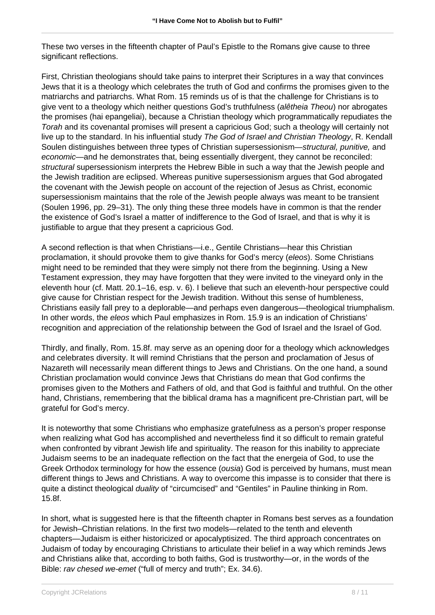These two verses in the fifteenth chapter of Paul's Epistle to the Romans give cause to three significant reflections.

First, Christian theologians should take pains to interpret their Scriptures in a way that convinces Jews that it is a theology which celebrates the truth of God and confirms the promises given to the matriarchs and patriarchs. What Rom. 15 reminds us of is that the challenge for Christians is to give vent to a theology which neither questions God's truthfulness (alêtheia Theou) nor abrogates the promises (hai epangeliai), because a Christian theology which programmatically repudiates the Torah and its covenantal promises will present a capricious God; such a theology will certainly not live up to the standard. In his influential study The God of Israel and Christian Theology, R. Kendall Soulen distinguishes between three types of Christian supersessionism—structural, punitive, and economic—and he demonstrates that, being essentially divergent, they cannot be reconciled: structural supersessionism interprets the Hebrew Bible in such a way that the Jewish people and the Jewish tradition are eclipsed. Whereas punitive supersessionism argues that God abrogated the covenant with the Jewish people on account of the rejection of Jesus as Christ, economic supersessionism maintains that the role of the Jewish people always was meant to be transient (Soulen 1996, pp. 29–31). The only thing these three models have in common is that the render the existence of God's Israel a matter of indifference to the God of Israel, and that is why it is justifiable to argue that they present a capricious God.

A second reflection is that when Christians—i.e., Gentile Christians—hear this Christian proclamation, it should provoke them to give thanks for God's mercy (eleos). Some Christians might need to be reminded that they were simply not there from the beginning. Using a New Testament expression, they may have forgotten that they were invited to the vineyard only in the eleventh hour (cf. Matt. 20.1–16, esp. v. 6). I believe that such an eleventh-hour perspective could give cause for Christian respect for the Jewish tradition. Without this sense of humbleness, Christians easily fall prey to a deplorable—and perhaps even dangerous—theological triumphalism. In other words, the eleos which Paul emphasizes in Rom. 15.9 is an indication of Christians' recognition and appreciation of the relationship between the God of Israel and the Israel of God.

Thirdly, and finally, Rom. 15.8f. may serve as an opening door for a theology which acknowledges and celebrates diversity. It will remind Christians that the person and proclamation of Jesus of Nazareth will necessarily mean different things to Jews and Christians. On the one hand, a sound Christian proclamation would convince Jews that Christians do mean that God confirms the promises given to the Mothers and Fathers of old, and that God is faithful and truthful. On the other hand, Christians, remembering that the biblical drama has a magnificent pre-Christian part, will be grateful for God's mercy.

It is noteworthy that some Christians who emphasize gratefulness as a person's proper response when realizing what God has accomplished and nevertheless find it so difficult to remain grateful when confronted by vibrant Jewish life and spirituality. The reason for this inability to appreciate Judaism seems to be an inadequate reflection on the fact that the energeia of God, to use the Greek Orthodox terminology for how the essence *(ousia)* God is perceived by humans, must mean different things to Jews and Christians. A way to overcome this impasse is to consider that there is quite a distinct theological duality of "circumcised" and "Gentiles" in Pauline thinking in Rom. 15.8f.

In short, what is suggested here is that the fifteenth chapter in Romans best serves as a foundation for Jewish–Christian relations. In the first two models—related to the tenth and eleventh chapters—Judaism is either historicized or apocalyptisized. The third approach concentrates on Judaism of today by encouraging Christians to articulate their belief in a way which reminds Jews and Christians alike that, according to both faiths, God is trustworthy—or, in the words of the Bible: rav chesed we-emet ("full of mercy and truth"; Ex. 34.6).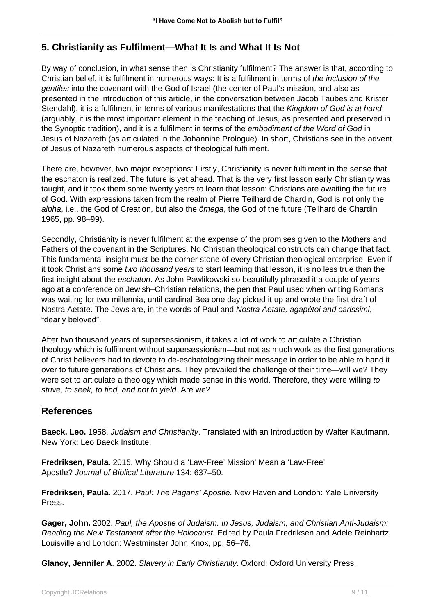### **5. Christianity as Fulfilment—What It Is and What It Is Not**

By way of conclusion, in what sense then is Christianity fulfilment? The answer is that, according to Christian belief, it is fulfilment in numerous ways: It is a fulfilment in terms of the inclusion of the gentiles into the covenant with the God of Israel (the center of Paul's mission, and also as presented in the introduction of this article, in the conversation between Jacob Taubes and Krister Stendahl), it is a fulfilment in terms of various manifestations that the Kingdom of God is at hand (arguably, it is the most important element in the teaching of Jesus, as presented and preserved in the Synoptic tradition), and it is a fulfilment in terms of the embodiment of the Word of God in Jesus of Nazareth (as articulated in the Johannine Prologue). In short, Christians see in the advent of Jesus of Nazareth numerous aspects of theological fulfilment.

There are, however, two major exceptions: Firstly, Christianity is never fulfilment in the sense that the eschaton is realized. The future is yet ahead. That is the very first lesson early Christianity was taught, and it took them some twenty years to learn that lesson: Christians are awaiting the future of God. With expressions taken from the realm of Pierre Teilhard de Chardin, God is not only the alpha, i.e., the God of Creation, but also the ômega, the God of the future (Teilhard de Chardin 1965, pp. 98–99).

Secondly, Christianity is never fulfilment at the expense of the promises given to the Mothers and Fathers of the covenant in the Scriptures. No Christian theological constructs can change that fact. This fundamental insight must be the corner stone of every Christian theological enterprise. Even if it took Christians some two thousand years to start learning that lesson, it is no less true than the first insight about the *eschaton*. As John Pawlikowski so beautifully phrased it a couple of years ago at a conference on Jewish–Christian relations, the pen that Paul used when writing Romans was waiting for two millennia, until cardinal Bea one day picked it up and wrote the first draft of Nostra Aetate. The Jews are, in the words of Paul and Nostra Aetate, agapêtoi and carissimi, "dearly beloved".

After two thousand years of supersessionism, it takes a lot of work to articulate a Christian theology which is fulfilment without supersessionism—but not as much work as the first generations of Christ believers had to devote to de-eschatologizing their message in order to be able to hand it over to future generations of Christians. They prevailed the challenge of their time—will we? They were set to articulate a theology which made sense in this world. Therefore, they were willing to strive, to seek, to find, and not to yield. Are we?

#### **References**

**Baeck, Leo.** 1958. Judaism and Christianity. Translated with an Introduction by Walter Kaufmann. New York: Leo Baeck Institute.

**Fredriksen, Paula.** 2015. Why Should a 'Law-Free' Mission' Mean a 'Law-Free' Apostle? Journal of Biblical Literature 134: 637–50.

**Fredriksen, Paula**. 2017. Paul: The Pagans' Apostle. New Haven and London: Yale University Press.

**Gager, John.** 2002. Paul, the Apostle of Judaism. In Jesus, Judaism, and Christian Anti-Judaism: Reading the New Testament after the Holocaust. Edited by Paula Fredriksen and Adele Reinhartz. Louisville and London: Westminster John Knox, pp. 56–76.

**Glancy, Jennifer A**. 2002. Slavery in Early Christianity. Oxford: Oxford University Press.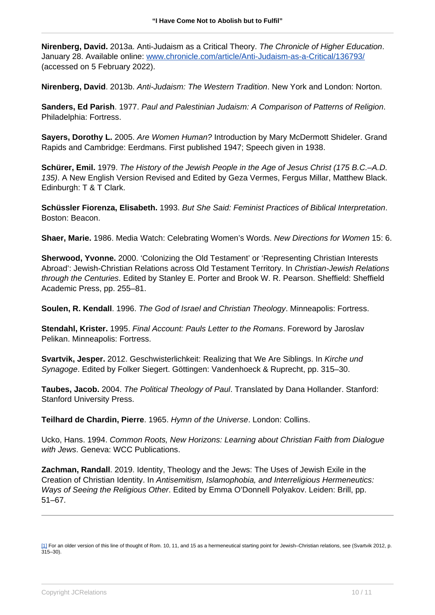**Nirenberg, David.** 2013a. Anti-Judaism as a Critical Theory. The Chronicle of Higher Education. January 28. Available online: [www.chronicle.com/article/Anti-Judaism-as-a-Critical/136793/](http://www.chronicle.com/article/Anti-Judaism-as-a-Critical/136793/) (accessed on 5 February 2022).

**Nirenberg, David**. 2013b. Anti-Judaism: The Western Tradition. New York and London: Norton.

**Sanders, Ed Parish**. 1977. Paul and Palestinian Judaism: A Comparison of Patterns of Religion. Philadelphia: Fortress.

**Sayers, Dorothy L.** 2005. Are Women Human? Introduction by Mary McDermott Shideler. Grand Rapids and Cambridge: Eerdmans. First published 1947; Speech given in 1938.

**Schürer, Emil.** 1979. The History of the Jewish People in the Age of Jesus Christ (175 B.C.–A.D. 135). A New English Version Revised and Edited by Geza Vermes, Fergus Millar, Matthew Black. Edinburgh: T & T Clark.

**Schüssler Fiorenza, Elisabeth.** 1993. But She Said: Feminist Practices of Biblical Interpretation. Boston: Beacon.

**Shaer, Marie.** 1986. Media Watch: Celebrating Women's Words. New Directions for Women 15: 6.

**Sherwood, Yvonne.** 2000. 'Colonizing the Old Testament' or 'Representing Christian Interests Abroad': Jewish-Christian Relations across Old Testament Territory. In Christian-Jewish Relations through the Centuries. Edited by Stanley E. Porter and Brook W. R. Pearson. Sheffield: Sheffield Academic Press, pp. 255–81.

**Soulen, R. Kendall**. 1996. The God of Israel and Christian Theology. Minneapolis: Fortress.

**Stendahl, Krister.** 1995. Final Account: Pauls Letter to the Romans. Foreword by Jaroslav Pelikan. Minneapolis: Fortress.

**Svartvik, Jesper.** 2012. Geschwisterlichkeit: Realizing that We Are Siblings. In Kirche und Synagoge. Edited by Folker Siegert. Göttingen: Vandenhoeck & Ruprecht, pp. 315–30.

**Taubes, Jacob.** 2004. The Political Theology of Paul. Translated by Dana Hollander. Stanford: Stanford University Press.

**Teilhard de Chardin, Pierre**. 1965. Hymn of the Universe. London: Collins.

Ucko, Hans. 1994. Common Roots, New Horizons: Learning about Christian Faith from Dialogue with Jews. Geneva: WCC Publications.

**Zachman, Randall**. 2019. Identity, Theology and the Jews: The Uses of Jewish Exile in the Creation of Christian Identity. In Antisemitism, Islamophobia, and Interreligious Hermeneutics: Ways of Seeing the Religious Other. Edited by Emma O'Donnell Polyakov. Leiden: Brill, pp. 51–67.

<sup>[1]</sup> For an older version of this line of thought of Rom. 10, 11, and 15 as a hermeneutical starting point for Jewish–Christian relations, see (Svartvik 2012, p. 315–30).